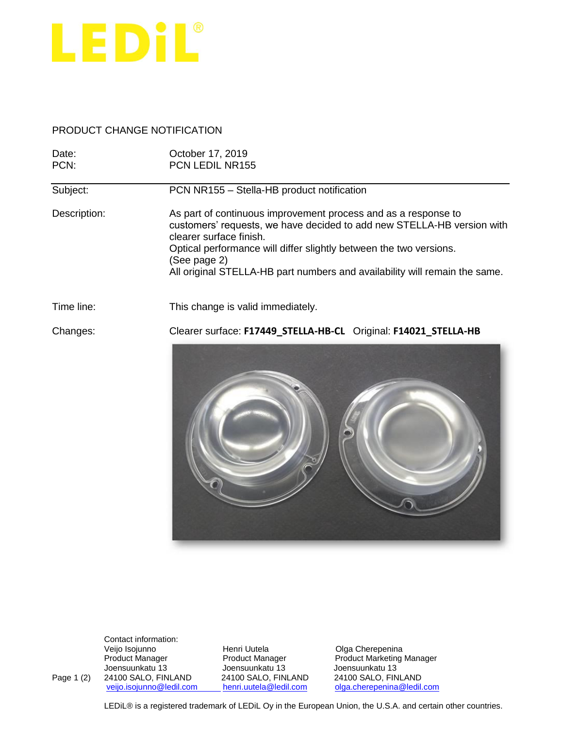

## PRODUCT CHANGE NOTIFICATION

| Date:<br>PCN: | October 17, 2019<br><b>PCN LEDIL NR155</b>                                                                                                                                                                                                                                                                                              |
|---------------|-----------------------------------------------------------------------------------------------------------------------------------------------------------------------------------------------------------------------------------------------------------------------------------------------------------------------------------------|
| Subject:      | PCN NR155 - Stella-HB product notification                                                                                                                                                                                                                                                                                              |
| Description:  | As part of continuous improvement process and as a response to<br>customers' requests, we have decided to add new STELLA-HB version with<br>clearer surface finish.<br>Optical performance will differ slightly between the two versions.<br>(See page 2)<br>All original STELLA-HB part numbers and availability will remain the same. |
| Time line:    | This change is valid immediately.                                                                                                                                                                                                                                                                                                       |
| Changes:      | Clearer surface: F17449 STELLA-HB-CL Original: F14021 STELLA-HB                                                                                                                                                                                                                                                                         |



Contact information:<br>Veijo Isojunno

Veijo Isojunno Henri Uutela Olga Cherepenina Joensuunkatu 13 Joensuunkatu 13<br>24100 SALO, FINLAND 24100 SALO, FINLAND Page 1 (2) 24100 SALO, FINLAND 24100 SALO, FINLAND<br>
<u>veijo.isojunno@ledil.com henri.uutela@ledil.com</u>

Product Manager **Product Manager Product Manager** Product Marketing Manager<br>
Joensuunkatu 13<br>
Joensuunkatu 13 [olga.cherepenina@ledil.com](mailto:olga.cherepenina@ledil.com)

LEDiL® is a registered trademark of LEDiL Oy in the European Union, the U.S.A. and certain other countries.